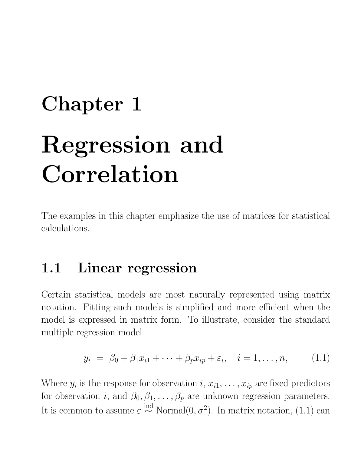## Chapter 1 Regression and Correlation

The examples in this chapter emphasize the use of matrices for statistical calculations.

## 1.1 Linear regression

Certain statistical models are most naturally represented using matrix notation. Fitting such models is simplified and more efficient when the model is expressed in matrix form. To illustrate, consider the standard multiple regression model

$$
y_i = \beta_0 + \beta_1 x_{i1} + \dots + \beta_p x_{ip} + \varepsilon_i, \quad i = 1, \dots, n,
$$
 (1.1)

Where  $y_i$  is the response for observation  $i, x_{i1}, \ldots, x_{ip}$  are fixed predictors for observation *i*, and  $\beta_0, \beta_1, \ldots, \beta_p$  are unknown regression parameters. It is common to assume  $\varepsilon \stackrel{\text{ind}}{\sim} \text{Normal}(0, \sigma^2)$ . In matrix notation, (1.1) can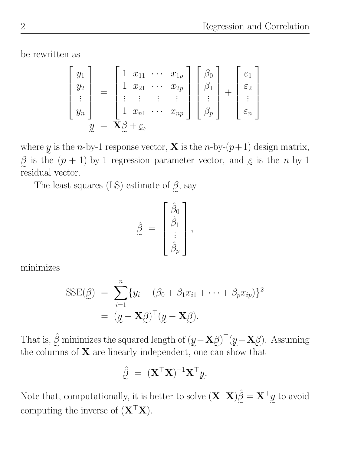be rewritten as

$$
\begin{bmatrix} y_1 \\ y_2 \\ \vdots \\ y_n \end{bmatrix} = \begin{bmatrix} 1 & x_{11} & \cdots & x_{1p} \\ 1 & x_{21} & \cdots & x_{2p} \\ \vdots & \vdots & \vdots & \vdots \\ 1 & x_{n1} & \cdots & x_{np} \end{bmatrix} \begin{bmatrix} \beta_0 \\ \beta_1 \\ \vdots \\ \beta_p \end{bmatrix} + \begin{bmatrix} \varepsilon_1 \\ \varepsilon_2 \\ \vdots \\ \varepsilon_n \end{bmatrix}
$$

$$
y = \mathbf{X}\beta + \varepsilon,
$$

w 1 rosponso z where y is the *n*-by-1 response vector, **X** is the *n*-by- $(p+1)$  design matrix,  $\beta$  is the  $(p + 1)$ -by-1 regression parameter vector, and  $\varepsilon$  is the *n*-by-1 residual vector.

The least squares (LS) estimate of  $\beta$ , say

$$
\hat{\beta} = \begin{bmatrix} \hat{\beta}_0 \\ \hat{\beta}_1 \\ \vdots \\ \hat{\beta}_p \end{bmatrix},
$$

minimizes

$$
SSE(\underline{\beta}) = \sum_{i=1}^{n} \{y_i - (\beta_0 + \beta_1 x_{i1} + \dots + \beta_p x_{ip})\}^2
$$
  
=  $(\underline{y} - \mathbf{X}\underline{\beta})^{\top}(\underline{y} - \mathbf{X}\underline{\beta}).$ 

That is,  $\hat{\beta}$  minimizes the squared length of  $(y - \mathbf{X}\beta)^{\top}(y - \mathbf{X}\beta)$ . Assuming the columns of  $X$  are linearly independent, one can show that

$$
\hat{\mathbf{\beta}} = (\mathbf{X}^{\top}\mathbf{X})^{-1}\mathbf{X}^{\top}\mathbf{y}.
$$

Note that, computationally, it is better to solve  $(\mathbf{X}^T \mathbf{X}) \hat{\beta} = \mathbf{X}^T y$  to avoid computing the inverse of  $(\mathbf{X}^{\top} \mathbf{X})$ .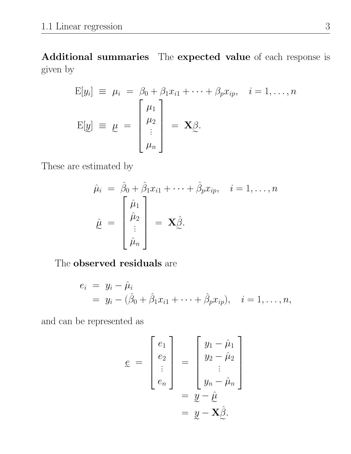Additional summaries The expected value of each response is given by

$$
E[y_i] \equiv \mu_i = \beta_0 + \beta_1 x_{i1} + \dots + \beta_p x_{ip}, \quad i = 1, \dots, n
$$
  

$$
E[y] \equiv \mu = \begin{bmatrix} \mu_1 \\ \mu_2 \\ \vdots \\ \mu_n \end{bmatrix} = \mathbf{X} \underline{\beta}.
$$

These are estimated by

$$
\hat{\mu}_i = \hat{\beta}_0 + \hat{\beta}_1 x_{i1} + \dots + \hat{\beta}_p x_{ip}, \quad i = 1, \dots, n
$$

$$
\hat{\mu} = \begin{bmatrix} \hat{\mu}_1 \\ \hat{\mu}_2 \\ \vdots \\ \hat{\mu}_n \end{bmatrix} = \mathbf{X} \hat{\beta}.
$$

The **observed** residuals are

$$
e_i = y_i - \hat{\mu}_i = y_i - (\hat{\beta}_0 + \hat{\beta}_1 x_{i1} + \dots + \hat{\beta}_p x_{ip}), \quad i = 1, \dots, n,
$$

and can be represented as

$$
\mathbf{e} = \begin{bmatrix} e_1 \\ e_2 \\ \vdots \\ e_n \end{bmatrix} = \begin{bmatrix} y_1 - \hat{\mu}_1 \\ y_2 - \hat{\mu}_2 \\ \vdots \\ y_n - \hat{\mu}_n \end{bmatrix}
$$

$$
= \mathbf{y} - \hat{\mu}
$$

$$
= \mathbf{y} - \mathbf{X}\hat{\beta}.
$$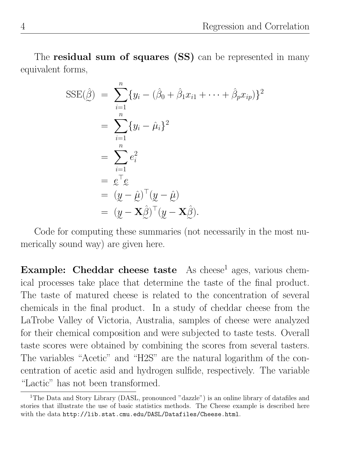The **residual sum of squares** (SS) can be represented in many equivalent forms,

$$
SSE(\hat{\beta}) = \sum_{i=1}^{n} \{y_i - (\hat{\beta}_0 + \hat{\beta}_1 x_{i1} + \dots + \hat{\beta}_p x_{ip})\}^2
$$
  
= 
$$
\sum_{i=1}^{n} \{y_i - \hat{\mu}_i\}^2
$$
  
= 
$$
\sum_{i=1}^{n} e_i^2
$$
  
= 
$$
e^{\top} e
$$
  
= 
$$
(y - \hat{\mu})^{\top} (y - \hat{\mu})
$$
  
= 
$$
(y - \mathbf{X}\hat{\beta})^{\top} (y - \mathbf{X}\hat{\beta}).
$$

Code for computing these summaries (not necessarily in the most numerically sound way) are given here.

Example: Cheddar cheese taste As cheese<sup>1</sup> ages, various chemical processes take place that determine the taste of the final product. The taste of matured cheese is related to the concentration of several chemicals in the final product. In a study of cheddar cheese from the LaTrobe Valley of Victoria, Australia, samples of cheese were analyzed for their chemical composition and were subjected to taste tests. Overall taste scores were obtained by combining the scores from several tasters. The variables "Acetic" and "H2S" are the natural logarithm of the concentration of acetic asid and hydrogen sulfide, respectively. The variable "Lactic" has not been transformed.

<sup>&</sup>lt;sup>1</sup>The Data and Story Library (DASL, pronounced "dazzle") is an online library of datafiles and stories that illustrate the use of basic statistics methods. The Cheese example is described here with the data http://lib.stat.cmu.edu/DASL/Datafiles/Cheese.html.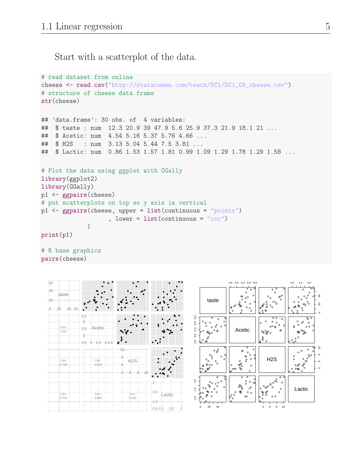Start with a scatterplot of the data.

```
# read dataset from online
cheese <- read.csv("http://statacumen.com/teach/SC1/SC1_03_cheese.csv")
# structure of cheese data.frame
str(cheese)
## 'data.frame': 30 obs. of 4 variables:
## $ taste : num 12.3 20.9 39 47.9 5.6 25.9 37.3 21.9 18.1 21 ...
## $ Acetic: num 4.54 5.16 5.37 5.76 4.66 ...
## $ H2S : num 3.13 5.04 5.44 7.5 3.81 ...
## $ Lactic: num 0.86 1.53 1.57 1.81 0.99 1.09 1.29 1.78 1.29 1.58 ...
# Plot the data using ggplot with GGally
library(ggplot2)
library(GGally)
p1 <- ggpairs(cheese)
# put scatterplots on top so y axis is vertical
p1 <- ggpairs(cheese, upper = list(continuous = "points")
                   , lower = list(continuous = "cor")\lambdaprint(p1)
# R base graphics
```
pairs(cheese)

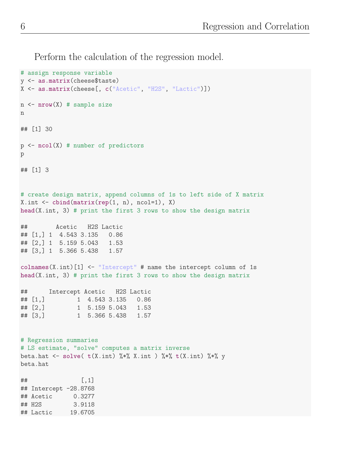Perform the calculation of the regression model.

```
# assign response variable
y <- as.matrix(cheese$taste)
X <- as.matrix(cheese[, c("Acetic", "H2S", "Lactic")])
n \leq -nrow(X) # sample size
n
## [1] 30
p \leftarrow \text{ncol}(X) # number of predictors
p
## [1] 3
# create design matrix, append columns of 1s to left side of X matrix
X.int \leftarrow \text{cbind}(\text{matrix}(\text{rep}(1, n), \text{ncol=1}), X)head(X.int, 3) # print the first 3 rows to show the design matrix
## Acetic H2S Lactic
## [1,] 1 4.543 3.135 0.86
## [2,] 1 5.159 5.043 1.53
## [3,] 1 5.366 5.438 1.57
colnames(X.int)[1] <- "Intercept" # name the intercept column of 1s
head(X.int, 3) # print the first 3 rows to show the design matrix
## Intercept Acetic H2S Lactic
## [1,] 1 4.543 3.135 0.86
## [2,] 1 5.159 5.043 1.53
## [3,] 1 5.366 5.438 1.57
# Regression summaries
# LS estimate, "solve" computes a matrix inverse
beta.hat <- solve( t(X.int) %*% X.int ) %*% t(X.int) %*% y
beta.hat
\sharp # \qquad \qquad \qquad \left[ ,1\right]## Intercept -28.8768
## Acetic 0.3277
## H2S 3.9118
## Lactic 19.6705
```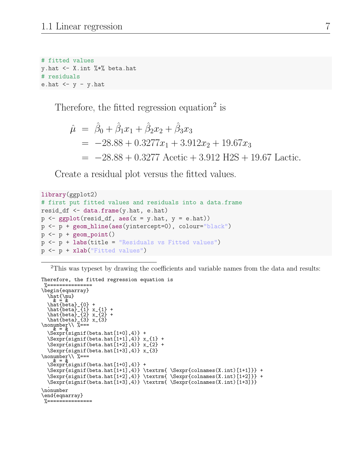```
# fitted values
y.hat <- X.int %*% beta.hat
# residuals
e.hat \leftarrow y - y.hat
```
Therefore, the fitted regression equation<sup>2</sup> is

$$
\hat{\mu} = \hat{\beta}_0 + \hat{\beta}_1 x_1 + \hat{\beta}_2 x_2 + \hat{\beta}_3 x_3
$$
  
= -28.88 + 0.3277x<sub>1</sub> + 3.912x<sub>2</sub> + 19.67x<sub>3</sub>  
= -28.88 + 0.3277 Acetic + 3.912 H2S + 19.67 Lactic.

Create a residual plot versus the fitted values.

```
library(ggplot2)
# first put fitted values and residuals into a data.frame
resid_df \leq data.frame(y.hat, e.hat)
p \leftarrow \text{ggplot}(\text{resid}_df, \text{aes}(x = y.\text{hat}, y = e.\text{hat}))p <- p + geom_hline(aes(yintercept=0), colour="black")
p \leftarrow p + \text{geom\_point}()p <- p + labs(title = "Residuals vs Fitted values")
p <- p + xlab("Fitted values")
```
<sup>2</sup>This was typeset by drawing the coefficients and variable names from the data and results:

```
Therefore, the fitted regression equation is
%===============
\begin{eqnarray}
  \hat{\mu}
& = &
\hat{beta}_{0} +
  \hat{beta}_{1} x_{1} +
  \hat{beta}_{2} x_{2} +
  \hat{beta}_{3} x_{3}
\nonumber\\ %===<br>\a<sup>& = &</sup> \ \cker\}
  \Sexpr{signif(beta.hat[1+0],4)} +
  \Sexpr{signif(beta.hat[1+1],4)} x_{1} +\Sexpr{signif(beta.hat[1+2],4)} x_{2} +
  \Sexpr{signif(beta.hat[1+3],4)} x_{3}
\nonumber\\ %===
  \alpha = \alpha<br>\Sexpr{signif(beta.hat[1+0],4)} +
  \Sexpr{signif(beta.hat[1+1],4)} \textrm{ \Sexpr{colnames(X.int)[1+1]}} +
  \Sexpr{signif(beta.hat[1+2],4)} \text{Sexpr{colnames}(X.int)[1+2]}) +\Sexpr{signif(beta.hat[1+3],4)} \textrm{ \Sexpr{colnames(X.int)[1+3]}}
.
\nonumber
\end{eqnarray}
%===============
```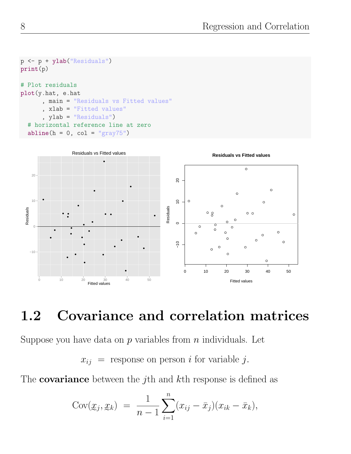```
p <- p + ylab("Residuals")
print(p)
# Plot residuals
plot(y.hat, e.hat
      , main = "Residuals vs Fitted values"
      , xlab = "Fitted values"
      , ylab = "Residuals")
  # horizontal reference line at zero
  abline(h = 0, col = "gray75")
```


## 1.2 Covariance and correlation matrices

Suppose you have data on  $p$  variables from  $n$  individuals. Let

 $x_{ij}$  = response on person *i* for variable *j*.

The **covariance** between the j<sup>th</sup> and  $k$ <sup>th</sup> response is defined as

$$
Cov(\underline{x}_j, \underline{x}_k) = \frac{1}{n-1} \sum_{i=1}^n (x_{ij} - \bar{x}_j)(x_{ik} - \bar{x}_k),
$$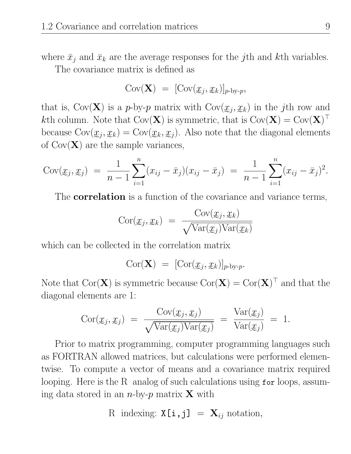where  $\bar{x}_i$  and  $\bar{x}_k$  are the average responses for the *j*th and *k*th variables. The covariance matrix is defined as

$$
Cov(\mathbf{X}) = [Cov(\mathcal{X}_j, \mathcal{X}_k)]_{p-by-p},
$$

that is,  $Cov(\mathbf{X})$  is a p-by-p matrix with  $Cov(\mathcal{X}_j, \mathcal{X}_k)$  in the jth row and kth column. Note that  $\text{Cov}(\mathbf{X})$  is symmetric, that is  $\text{Cov}(\mathbf{X}) = \text{Cov}(\mathbf{X})^{\top}$ because  $Cov(\mathcal{X}_j, \mathcal{X}_k) = Cov(\mathcal{X}_k, \mathcal{X}_j)$ . Also note that the diagonal elements of  $\text{Cov}(\mathbf{X})$  are the sample variances,

$$
Cov(\underline{x}_j, \underline{x}_j) = \frac{1}{n-1} \sum_{i=1}^n (x_{ij} - \bar{x}_j)(x_{ij} - \bar{x}_j) = \frac{1}{n-1} \sum_{i=1}^n (x_{ij} - \bar{x}_j)^2.
$$

The **correlation** is a function of the covariance and variance terms,

$$
Cor(x_j, x_k) = \frac{Cov(x_j, x_k)}{\sqrt{Var(x_j)Var(x_k)}}
$$

which can be collected in the correlation matrix

$$
Cor(\mathbf{X}) = [Cor(\mathcal{X}_j, \mathcal{X}_k)]_{p-by-p}.
$$

Note that  $Cor(\mathbf{X})$  is symmetric because  $Cor(\mathbf{X}) = Cor(\mathbf{X})^{\top}$  and that the diagonal elements are 1:

$$
Cor(\underline{x}_j, \underline{x}_j) = \frac{Cov(\underline{x}_j, \underline{x}_j)}{\sqrt{Var(\underline{x}_j)Var(\underline{x}_j)}} = \frac{Var(\underline{x}_j)}{Var(\underline{x}_j)} = 1.
$$

Prior to matrix programming, computer programming languages such as FORTRAN allowed matrices, but calculations were performed elementwise. To compute a vector of means and a covariance matrix required looping. Here is the R analog of such calculations using for loops, assuming data stored in an *n*-by-*p* matrix **X** with

R indexing: 
$$
X[i, j] = X_{ij}
$$
 notation,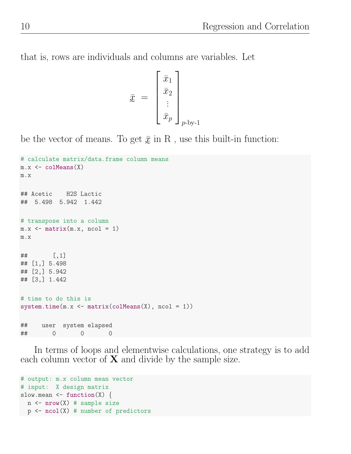that is, rows are individuals and columns are variables. Let

$$
\bar{x} = \begin{bmatrix} \bar{x}_1 \\ \bar{x}_2 \\ \vdots \\ \bar{x}_p \end{bmatrix}_{p \text{-by-1}}
$$

be the vector of means. To get  $\bar{x}$  in R, use this built-in function:

```
e
# calculate matrix/data.frame column means
m.x <- colMeans(X)
m.x
## Acetic H2S Lactic
## 5.498 5.942 1.442
# transpose into a column
m.x \leftarrow matrix(m.x, ncol = 1)m.x
## [,1]
## [1,] 5.498
## [2,] 5.942
## [3,] 1.442
# time to do this is
system.time(m.x \leq matrix(colMeans(X), ncol = 1))## user system elapsed
## 0 0 0
```
In terms of loops and elementwise calculations, one strategy is to add each column vector of  $X$  and divide by the sample size.

```
# output: m.x column mean vector
# input: X design matrix
slow.mean \leq function(X) {
  n \leq -nrow(X) # sample size
  p \leftarrow \text{ncol}(X) # number of predictors
```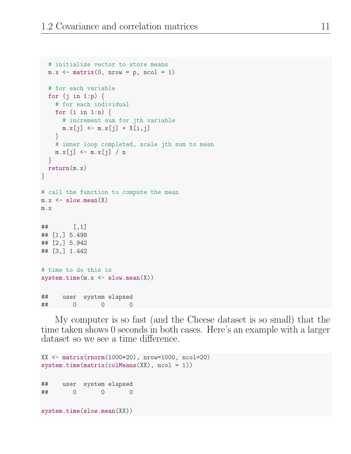```
# initialize vector to store means
  m.x \leq matrix(0, nrow = p, ncol = 1)# for each variable
  for (j \in i \in 1:p) {
    # for each individual
    for (i \text{ in } 1:n) {
      # increment sum for jth variable
      m.x[j] \leq m.x[j] + X[i,j]}
    # inner loop completed, scale jth sum to mean
    m.x[j] \leq m.x[j] / n}
  return(m.x)
}
# call the function to compute the mean
m.x \leftarrow slow-mean(X)m.x
## [,1]
## [1,] 5.498
## [2,] 5.942
## [3,] 1.442
# time to do this is
system.time(m.x \leftarrow slow-mean(X))## user system elapsed
## 0 0 0
```
My computer is so fast (and the Cheese dataset is so small) that the time taken shows 0 seconds in both cases. Here's an example with a larger dataset so we see a time difference.

```
XX <- matrix(rnorm(1000*20), nrow=1000, ncol=20)
system.time(matrix(colMeans(XX), ncol = 1))
## user system elapsed
## 0 0 0
system.time(slow.mean(XX))
```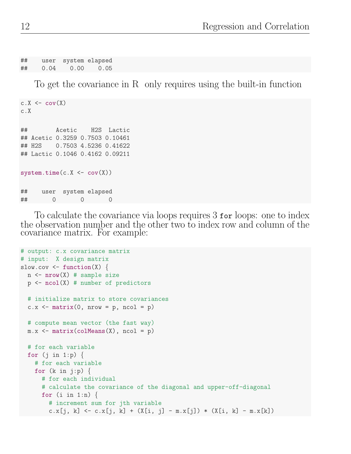## user system elapsed ## 0.04 0.00 0.05

To get the covariance in R only requires using the built-in function

```
c.X \leftarrow cov(X)c.X
## Acetic H2S Lactic
## Acetic 0.3259 0.7503 0.10461
## H2S 0.7503 4.5236 0.41622
## Lactic 0.1046 0.4162 0.09211
system.time(c.X \leftarrow cov(X))## user system elapsed
## 0 0 0
```
To calculate the covariance via loops requires 3 for loops: one to index the observation number and the other two to index row and column of the covariance matrix. For example:

```
# output: c.x covariance matrix
# input: X design matrix
slow.cov \leq function(X) {
 n \leq -nrow(X) # sample size
 p \leftarrow \text{ncol}(X) # number of predictors
 # initialize matrix to store covariances
 c.x \leq matrix(0, nrow = p, ncol = p)# compute mean vector (the fast way)
 m.x \leftarrow matrix(colMeans(X), ncol = p)# for each variable
 for (i in 1:p) \{# for each variable
    for (k \in j:p) {
      # for each individual
      # calculate the covariance of the diagonal and upper-off-diagonal
      for (i \text{ in } 1:n) {
        # increment sum for jth variable
        c.x[j, k] <- c.x[j, k] + (X[i, j] - m.x[j]) * (X[i, k] - m.x[k])
```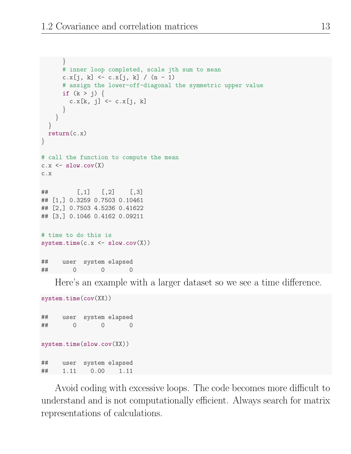```
}
      # inner loop completed, scale jth sum to mean
      c.x[j, k] \leftarrow c.x[j, k] / (n - 1)# assign the lower-off-diagonal the symmetric upper value
      if (k > j) {
        c.x[k, j] <- c.x[j, k]
      }
    }
  }
 return(c.x)
}
# call the function to compute the mean
c.x \leftarrow slow.cov(X)c.x
\# [, 1 [, 2 [, 3 ]## [1,] 0.3259 0.7503 0.10461
## [2,] 0.7503 4.5236 0.41622
## [3,] 0.1046 0.4162 0.09211
# time to do this is
system.time(c.x \leftarrow slow.cov(X))## user system elapsed
## 0 0 0
```
Here's an example with a larger dataset so we see a time difference.

system.time(cov(XX)) ## user system elapsed ## 0 0 0 system.time(slow.cov(XX)) ## user system elapsed ## 1.11 0.00 1.11

Avoid coding with excessive loops. The code becomes more difficult to understand and is not computationally efficient. Always search for matrix representations of calculations.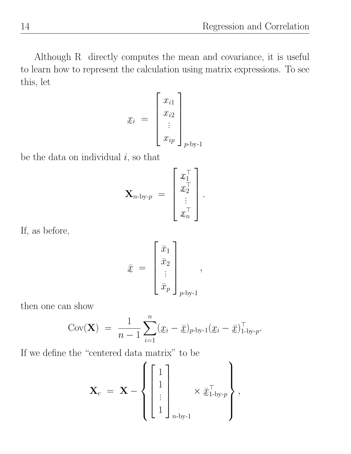Although R directly computes the mean and covariance, it is useful to learn how to represent the calculation using matrix expressions. To see this, let

$$
\mathbf{x}_i = \begin{bmatrix} x_{i1} \\ x_{i2} \\ \vdots \\ x_{ip} \end{bmatrix}_{p \text{-by-1}}
$$

be the data on individual  $i$ , so that

$$
\mathbf{X}_{n\text{-by-}p} ~=~ \left[ \begin{array}{c} x_1^\top \\ x_2^\top \\ \vdots \\ x_n^\top \end{array} \right].
$$

If, as before,

$$
\bar{x} = \begin{bmatrix} \bar{x}_1 \\ \bar{x}_2 \\ \vdots \\ \bar{x}_p \end{bmatrix}_{p \text{-by-1}},
$$

then one can show

Cov(**X**) = 
$$
\frac{1}{n-1} \sum_{i=1}^{n} (x_i - \bar{x})_{p\text{-by-1}} (x_i - \bar{x})_{1\text{-by-}p}^{\top}.
$$

If we define the "centered data matrix" to be

$$
\mathbf{X}_{\mathrm{c}} = \mathbf{X} - \left\{ \begin{bmatrix} 1 \\ 1 \\ \vdots \\ 1 \end{bmatrix}_{n \text{-by-1}} \times \bar{\mathbf{x}}_{1 \text{-by-}p}^{\top} \right\},
$$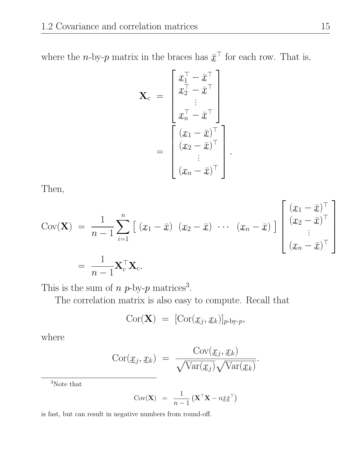where the *n*-by-*p* matrix in the braces has  $\bar{x}^{\top}$  for each row. That is,

$$
\mathbf{X}_{c} = \begin{bmatrix} x_{1}^{\top} - \bar{x}^{\top} \\ x_{2}^{\top} - \bar{x}^{\top} \\ \vdots \\ x_{n}^{\top} - \bar{x}^{\top} \end{bmatrix}
$$

$$
= \begin{bmatrix} (x_{1} - \bar{x})^{\top} \\ (x_{2} - \bar{x})^{\top} \\ \vdots \\ (x_{n} - \bar{x})^{\top} \end{bmatrix}
$$

.

Then,

$$
Cov(\mathbf{X}) = \frac{1}{n-1} \sum_{i=1}^{n} \left[ (x_1 - \bar{x}) (x_2 - \bar{x}) \cdots (x_n - \bar{x}) \right] \begin{bmatrix} (x_1 - \bar{x})^{\top} \\ (x_2 - \bar{x})^{\top} \\ \vdots \\ (x_n - \bar{x})^{\top} \end{bmatrix}
$$

$$
= \frac{1}{n-1} \mathbf{X}_{c}^{\top} \mathbf{X}_{c}.
$$

This is the sum of  $n p$ -by- $p$  matrices<sup>3</sup>.

The correlation matrix is also easy to compute. Recall that

$$
Cor(\mathbf{X}) = [Cor(\underline{x}_j, \underline{x}_k)]_{p\text{-by-}p},
$$

where

$$
Cor(\underline{x}_j, \underline{x}_k) = \frac{Cov(\underline{x}_j, \underline{x}_k)}{\sqrt{Var(\underline{x}_j)}\sqrt{Var(\underline{x}_k)}}.
$$

 $^3\rm{Note}$  that

Cov(**X**) = 
$$
\frac{1}{n-1} (\mathbf{X}^\top \mathbf{X} - n \bar{\mathbf{X}} \bar{\mathbf{X}}^\top)
$$

is fast, but can result in negative numbers from round-off.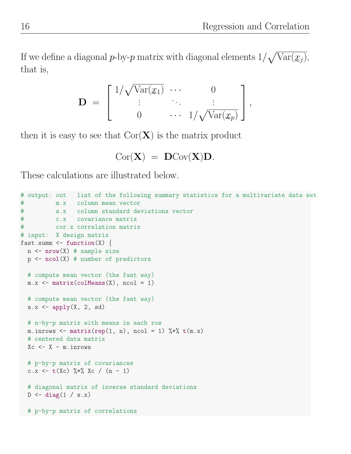If we define a diagonal p-by-p matrix with diagonal elements  $1/\sqrt{\text{Var}(\underline{x}_j)}$ , that is,

$$
\mathbf{D} = \begin{bmatrix} 1/\sqrt{\text{Var}(x_1)} & \cdots & 0 \\ \vdots & \ddots & \vdots \\ 0 & \cdots & 1/\sqrt{\text{Var}(x_p)} \end{bmatrix},
$$

 $\frac{1}{2}$ then it is easy to see that  $Cor(\mathbf{X})$  is the matrix product

$$
\mathrm{Cor}(X) \ = \ \mathbf{D}\mathrm{Cov}(X)\mathbf{D}.
$$

These calculations are illustrated below.

```
# output: out list of the following summary statistics for a multivariate data set
# m.x column mean vector
# s.x column standard deviations vector
# c.x covariance matrix
# cor.x correlation matrix
# input: X design matrix
fast.summ \leq function(X) {
 n \leq -nrow(X) # sample size
 p \leftarrow \text{ncol}(X) # number of predictors
  # compute mean vector (the fast way)
 m.x \leftarrow matrix(colMeans(X), ncol = 1)# compute mean vector (the fast way)
  s.x \leftarrow apply(X, 2, sd)# n-by-p matrix with means in each row
 m.inrows \leq matrix(rep(1, n), ncol = 1) \frac{1}{2} (m.x)
  # centered data matrix
 Xc <- X - m.inrows
  # p-by-p matrix of covariances
  c.x \lt t(Xc) \frac{9}{8} Xc / (n - 1)
  # diagonal matrix of inverse standard deviations
  D \leftarrow diag(1 / s.x)# p-by-p matrix of correlations
```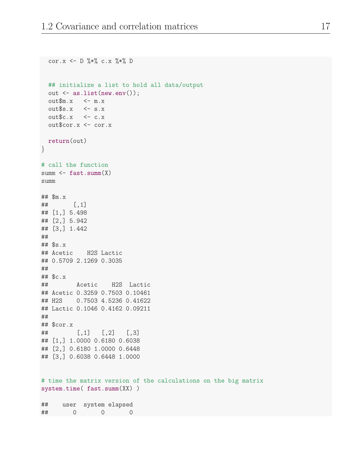```
cor.x <- D \frac{9}{8} % c.x \frac{9}{8} % D
  ## initialize a list to hold all data/output
  out <- as.list(new.env());
  out$m.x \leftarrow m.x
  out$s.x \leftarrow s.x
  out$c.x \leftarrow c.x
  out$cor.x <- cor.x
 return(out)
}
# call the function
summ \leq fast.summ(X)summ
## $m.x
## [,1]
## [1,] 5.498
## [2,] 5.942
## [3,] 1.442
##
## $s.x
## Acetic H2S Lactic
## 0.5709 2.1269 0.3035
##
## $c.x
## Acetic H2S Lactic
## Acetic 0.3259 0.7503 0.10461
## H2S 0.7503 4.5236 0.41622
## Lactic 0.1046 0.4162 0.09211
##
## $cor.x
## [,1] [,2] [,3]
## [1,] 1.0000 0.6180 0.6038
## [2,] 0.6180 1.0000 0.6448
## [3,] 0.6038 0.6448 1.0000
# time the matrix version of the calculations on the big matrix
system.time( fast.summ(XX) )
## user system elapsed
## 0 0 0
```